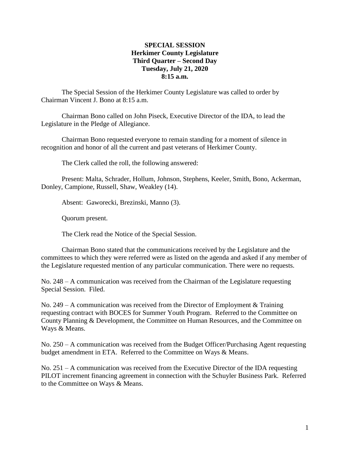# **SPECIAL SESSION Herkimer County Legislature Third Quarter – Second Day Tuesday, July 21, 2020 8:15 a.m.**

The Special Session of the Herkimer County Legislature was called to order by Chairman Vincent J. Bono at 8:15 a.m.

Chairman Bono called on John Piseck, Executive Director of the IDA, to lead the Legislature in the Pledge of Allegiance.

Chairman Bono requested everyone to remain standing for a moment of silence in recognition and honor of all the current and past veterans of Herkimer County.

The Clerk called the roll, the following answered:

Present: Malta, Schrader, Hollum, Johnson, Stephens, Keeler, Smith, Bono, Ackerman, Donley, Campione, Russell, Shaw, Weakley (14).

Absent: Gaworecki, Brezinski, Manno (3).

Quorum present.

The Clerk read the Notice of the Special Session.

Chairman Bono stated that the communications received by the Legislature and the committees to which they were referred were as listed on the agenda and asked if any member of the Legislature requested mention of any particular communication. There were no requests.

No. 248 – A communication was received from the Chairman of the Legislature requesting Special Session. Filed.

No. 249 – A communication was received from the Director of Employment  $&$  Training requesting contract with BOCES for Summer Youth Program. Referred to the Committee on County Planning & Development, the Committee on Human Resources, and the Committee on Ways & Means.

No. 250 – A communication was received from the Budget Officer/Purchasing Agent requesting budget amendment in ETA. Referred to the Committee on Ways & Means.

No. 251 – A communication was received from the Executive Director of the IDA requesting PILOT increment financing agreement in connection with the Schuyler Business Park. Referred to the Committee on Ways & Means.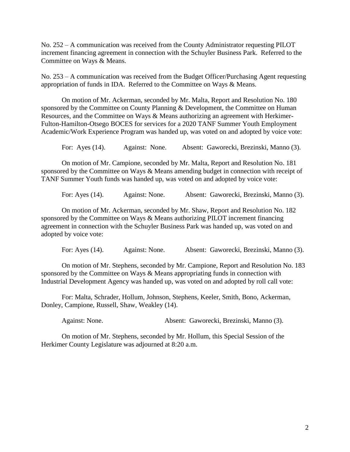No. 252 – A communication was received from the County Administrator requesting PILOT increment financing agreement in connection with the Schuyler Business Park. Referred to the Committee on Ways & Means.

No. 253 – A communication was received from the Budget Officer/Purchasing Agent requesting appropriation of funds in IDA. Referred to the Committee on Ways & Means.

On motion of Mr. Ackerman, seconded by Mr. Malta, Report and Resolution No. 180 sponsored by the Committee on County Planning & Development, the Committee on Human Resources, and the Committee on Ways & Means authorizing an agreement with Herkimer-Fulton-Hamilton-Otsego BOCES for services for a 2020 TANF Summer Youth Employment Academic/Work Experience Program was handed up, was voted on and adopted by voice vote:

For: Ayes (14). Against: None. Absent: Gaworecki, Brezinski, Manno (3).

On motion of Mr. Campione, seconded by Mr. Malta, Report and Resolution No. 181 sponsored by the Committee on Ways & Means amending budget in connection with receipt of TANF Summer Youth funds was handed up, was voted on and adopted by voice vote:

For: Ayes (14). Against: None. Absent: Gaworecki, Brezinski, Manno (3).

On motion of Mr. Ackerman, seconded by Mr. Shaw, Report and Resolution No. 182 sponsored by the Committee on Ways & Means authorizing PILOT increment financing agreement in connection with the Schuyler Business Park was handed up, was voted on and adopted by voice vote:

For: Ayes (14). Against: None. Absent: Gaworecki, Brezinski, Manno (3).

On motion of Mr. Stephens, seconded by Mr. Campione, Report and Resolution No. 183 sponsored by the Committee on Ways & Means appropriating funds in connection with Industrial Development Agency was handed up, was voted on and adopted by roll call vote:

For: Malta, Schrader, Hollum, Johnson, Stephens, Keeler, Smith, Bono, Ackerman, Donley, Campione, Russell, Shaw, Weakley (14).

Against: None. Absent: Gaworecki, Brezinski, Manno (3).

On motion of Mr. Stephens, seconded by Mr. Hollum, this Special Session of the Herkimer County Legislature was adjourned at 8:20 a.m.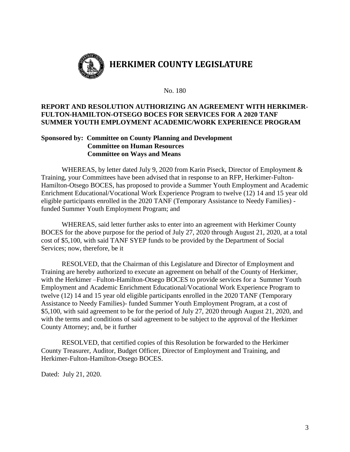

# **REPORT AND RESOLUTION AUTHORIZING AN AGREEMENT WITH HERKIMER-FULTON-HAMILTON-OTSEGO BOCES FOR SERVICES FOR A 2020 TANF SUMMER YOUTH EMPLOYMENT ACADEMIC/WORK EXPERIENCE PROGRAM**

# **Sponsored by: Committee on County Planning and Development Committee on Human Resources Committee on Ways and Means**

WHEREAS, by letter dated July 9, 2020 from Karin Piseck, Director of Employment & Training, your Committees have been advised that in response to an RFP, Herkimer-Fulton-Hamilton-Otsego BOCES, has proposed to provide a Summer Youth Employment and Academic Enrichment Educational/Vocational Work Experience Program to twelve (12) 14 and 15 year old eligible participants enrolled in the 2020 TANF (Temporary Assistance to Needy Families) funded Summer Youth Employment Program; and

WHEREAS, said letter further asks to enter into an agreement with Herkimer County BOCES for the above purpose for the period of July 27, 2020 through August 21, 2020, at a total cost of \$5,100, with said TANF SYEP funds to be provided by the Department of Social Services; now, therefore, be it

RESOLVED, that the Chairman of this Legislature and Director of Employment and Training are hereby authorized to execute an agreement on behalf of the County of Herkimer, with the Herkimer –Fulton-Hamilton-Otsego BOCES to provide services for a Summer Youth Employment and Academic Enrichment Educational/Vocational Work Experience Program to twelve (12) 14 and 15 year old eligible participants enrolled in the 2020 TANF (Temporary Assistance to Needy Families)- funded Summer Youth Employment Program, at a cost of \$5,100, with said agreement to be for the period of July 27, 2020 through August 21, 2020, and with the terms and conditions of said agreement to be subject to the approval of the Herkimer County Attorney; and, be it further

RESOLVED, that certified copies of this Resolution be forwarded to the Herkimer County Treasurer, Auditor, Budget Officer, Director of Employment and Training, and Herkimer-Fulton-Hamilton-Otsego BOCES.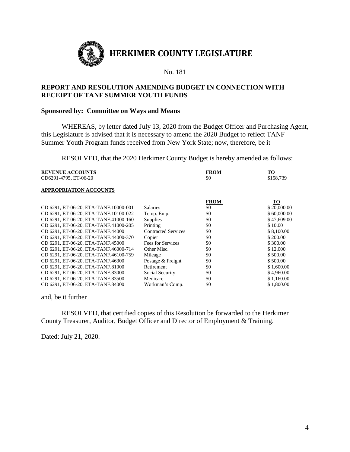

# **REPORT AND RESOLUTION AMENDING BUDGET IN CONNECTION WITH RECEIPT OF TANF SUMMER YOUTH FUNDS**

#### **Sponsored by: Committee on Ways and Means**

WHEREAS, by letter dated July 13, 2020 from the Budget Officer and Purchasing Agent, this Legislature is advised that it is necessary to amend the 2020 Budget to reflect TANF Summer Youth Program funds received from New York State; now, therefore, be it

RESOLVED, that the 2020 Herkimer County Budget is hereby amended as follows:

| <b>REVENUE ACCOUNTS</b><br>CD6291-4795, ET-06-20 |                            | <b>FROM</b><br>\$0 | TO<br>\$158,739 |
|--------------------------------------------------|----------------------------|--------------------|-----------------|
| <b>APPROPRIATION ACCOUNTS</b>                    |                            |                    |                 |
|                                                  |                            | <b>FROM</b>        | <u>TO</u>       |
| CD 6291, ET-06-20, ETA-TANF.10000-001            | <b>Salaries</b>            | \$0                | \$20,000.00     |
| CD 6291, ET-06-20, ETA-TANF.10100-022            | Temp. Emp.                 | \$0                | \$60,000.00     |
| CD 6291, ET-06-20, ETA-TANF.41000-160            | Supplies                   | \$0                | \$47,609.00     |
| CD 6291, ET-06-20, ETA-TANF.41000-205            | Printing                   | \$0                | \$10.00         |
| CD 6291, ET-06-20, ETA-TANF.44000                | <b>Contracted Services</b> | \$0                | \$8,100.00      |
| CD 6291, ET-06-20, ETA-TANF.44000-370            | Copier                     | \$0                | \$200.00        |
| CD 6291, ET-06-20, ETA-TANF.45000                | Fees for Services          | \$0                | \$300.00        |
| CD 6291, ET-06-20, ETA-TANF.46000-714            | Other Misc.                | \$0                | \$12,000        |
| CD 6291, ET-06-20, ETA-TANF.46100-759            | Mileage                    | \$0                | \$500.00        |
| CD 6291, ET-06-20, ETA-TANF.46300                | Postage & Freight          | \$0                | \$500.00        |
| CD 6291, ET-06-20, ETA-TANF.81000                | Retirement                 | \$0                | \$1,600.00      |
| CD 6291, ET-06-20, ETA-TANF.83000                | Social Security            | \$0                | \$4,960.00      |
| CD 6291, ET-06-20, ETA-TANF.83500                | Medicare                   | \$0                | \$1,160.00      |
| CD 6291, ET-06-20, ETA-TANF.84000                | Workman's Comp.            | \$0                | \$1,800.00      |

and, be it further

RESOLVED, that certified copies of this Resolution be forwarded to the Herkimer County Treasurer, Auditor, Budget Officer and Director of Employment & Training.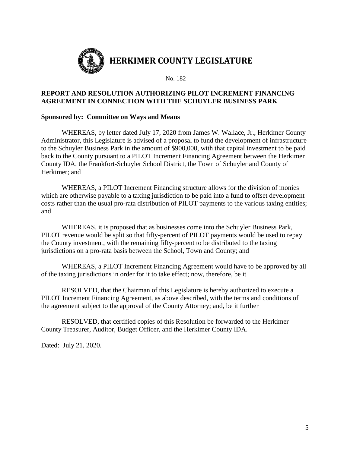

## **REPORT AND RESOLUTION AUTHORIZING PILOT INCREMENT FINANCING AGREEMENT IN CONNECTION WITH THE SCHUYLER BUSINESS PARK**

## **Sponsored by: Committee on Ways and Means**

WHEREAS, by letter dated July 17, 2020 from James W. Wallace, Jr., Herkimer County Administrator, this Legislature is advised of a proposal to fund the development of infrastructure to the Schuyler Business Park in the amount of \$900,000, with that capital investment to be paid back to the County pursuant to a PILOT Increment Financing Agreement between the Herkimer County IDA, the Frankfort-Schuyler School District, the Town of Schuyler and County of Herkimer; and

WHEREAS, a PILOT Increment Financing structure allows for the division of monies which are otherwise payable to a taxing jurisdiction to be paid into a fund to offset development costs rather than the usual pro-rata distribution of PILOT payments to the various taxing entities; and

WHEREAS, it is proposed that as businesses come into the Schuyler Business Park, PILOT revenue would be split so that fifty-percent of PILOT payments would be used to repay the County investment, with the remaining fifty-percent to be distributed to the taxing jurisdictions on a pro-rata basis between the School, Town and County; and

WHEREAS, a PILOT Increment Financing Agreement would have to be approved by all of the taxing jurisdictions in order for it to take effect; now, therefore, be it

RESOLVED, that the Chairman of this Legislature is hereby authorized to execute a PILOT Increment Financing Agreement, as above described, with the terms and conditions of the agreement subject to the approval of the County Attorney; and, be it further

RESOLVED, that certified copies of this Resolution be forwarded to the Herkimer County Treasurer, Auditor, Budget Officer, and the Herkimer County IDA.